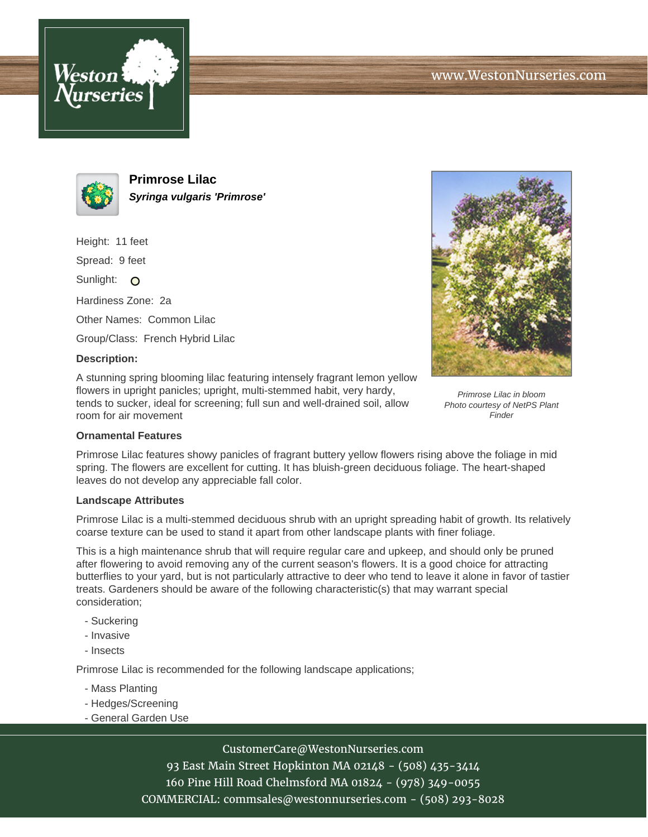



**Primrose Lilac Syringa vulgaris 'Primrose'**

Height: 11 feet

Spread: 9 feet

Sunlight: O

Hardiness Zone: 2a

Other Names: Common Lilac

Group/Class: French Hybrid Lilac

## **Description:**

A stunning spring blooming lilac featuring intensely fragrant lemon yellow flowers in upright panicles; upright, multi-stemmed habit, very hardy, tends to sucker, ideal for screening; full sun and well-drained soil, allow room for air movement



Primrose Lilac in bloom Photo courtesy of NetPS Plant **Finder** 

## **Ornamental Features**

Primrose Lilac features showy panicles of fragrant buttery yellow flowers rising above the foliage in mid spring. The flowers are excellent for cutting. It has bluish-green deciduous foliage. The heart-shaped leaves do not develop any appreciable fall color.

#### **Landscape Attributes**

Primrose Lilac is a multi-stemmed deciduous shrub with an upright spreading habit of growth. Its relatively coarse texture can be used to stand it apart from other landscape plants with finer foliage.

This is a high maintenance shrub that will require regular care and upkeep, and should only be pruned after flowering to avoid removing any of the current season's flowers. It is a good choice for attracting butterflies to your yard, but is not particularly attractive to deer who tend to leave it alone in favor of tastier treats. Gardeners should be aware of the following characteristic(s) that may warrant special consideration;

- Suckering
- Invasive
- Insects

Primrose Lilac is recommended for the following landscape applications;

- Mass Planting
- Hedges/Screening
- General Garden Use

# CustomerCare@WestonNurseries.com

93 East Main Street Hopkinton MA 02148 - (508) 435-3414 160 Pine Hill Road Chelmsford MA 01824 - (978) 349-0055 COMMERCIAL: commsales@westonnurseries.com - (508) 293-8028